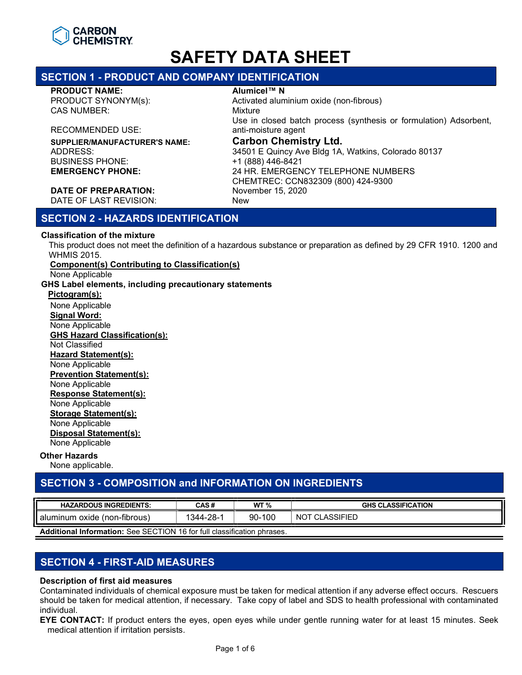

# SECTION 1 - PRODUCT AND COMPANY IDENTIFICATION

#### PRODUCT NAME: Alumicel™ N

CAS NUMBER: Mixture

RECOMMENDED USE:

SUPPLIER/MANUFACTURER'S NAME: **Carbon Chemistry Ltd.**<br>ADDRESS: 34501 E Quincy Ave Bldg 1A.

PRODUCT SYNONYM(s): Activated aluminium oxide (non-fibrous) Use in closed batch process (synthesis or formulation) Adsorbent, anti-moisture agent ADDRESS: 34501 E Quincy Ave Bldg 1A, Watkins, Colorado 80137 +1 (888) 446-8421 EMERGENCY PHONE: 24 HR. EMERGENCY TELEPHONE NUMBERS CHEMTREC: CCN832309 (800) 424-9300

#### DATE OF PREPARATION: November 15, 2020 DATE OF LAST REVISION: New

# SECTION 2 - HAZARDS IDENTIFICATION

#### Classification of the mixture

This product does not meet the definition of a hazardous substance or preparation as defined by 29 CFR 1910. 1200 and WHMIS 2015.

#### Component(s) Contributing to Classification(s)

None Applicable

#### GHS Label elements, including precautionary statements

Pictogram(s): None Applicable Signal Word: None Applicable GHS Hazard Classification(s): Not Classified Hazard Statement(s): None Applicable Prevention Statement(s): None Applicable Response Statement(s): None Applicable Storage Statement(s): None Applicable Disposal Statement(s): None Applicable Other Hazards

None applicable.

# SECTION 3 - COMPOSITION and INFORMATION ON INGREDIENTS

| <b>HAZARDOUS INGREDIENTS:</b>        | CAS#            | WT $%$     | <b>CLASSIFICATION</b><br>GHS |
|--------------------------------------|-----------------|------------|------------------------------|
| I alumınum<br>(non-fibrous)<br>oxide | $1344 - 20 - 1$ | 100<br>90- | <b>CLASSIFIED</b><br>NO      |

Additional Information: See SECTION 16 for full classification phrases.

# SECTION 4 - FIRST-AID MEASURES

### Description of first aid measures

Contaminated individuals of chemical exposure must be taken for medical attention if any adverse effect occurs. Rescuers should be taken for medical attention, if necessary. Take copy of label and SDS to health professional with contaminated individual.

EYE CONTACT: If product enters the eyes, open eyes while under gentle running water for at least 15 minutes. Seek medical attention if irritation persists.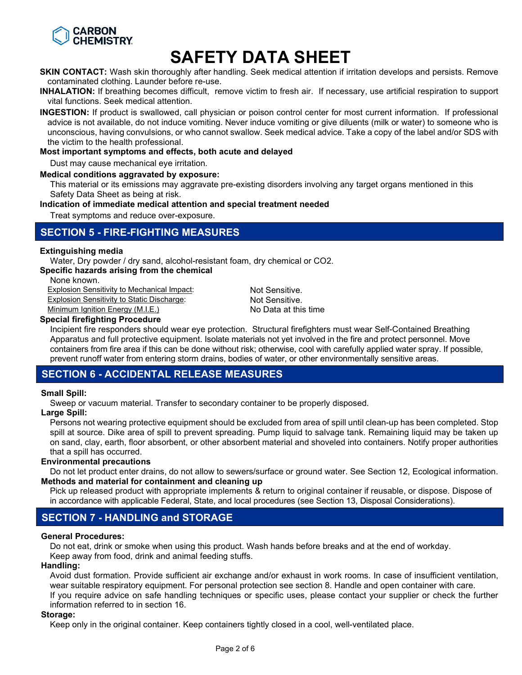

**SKIN CONTACT:** Wash skin thoroughly after handling. Seek medical attention if irritation develops and persists. Remove contaminated clothing. Launder before re-use.

INHALATION: If breathing becomes difficult, remove victim to fresh air. If necessary, use artificial respiration to support vital functions. Seek medical attention.

INGESTION: If product is swallowed, call physician or poison control center for most current information. If professional advice is not available, do not induce vomiting. Never induce vomiting or give diluents (milk or water) to someone who is unconscious, having convulsions, or who cannot swallow. Seek medical advice. Take a copy of the label and/or SDS with the victim to the health professional.

#### Most important symptoms and effects, both acute and delayed

Dust may cause mechanical eye irritation.

#### Medical conditions aggravated by exposure:

This material or its emissions may aggravate pre-existing disorders involving any target organs mentioned in this Safety Data Sheet as being at risk.

#### Indication of immediate medical attention and special treatment needed

Treat symptoms and reduce over-exposure.

## SECTION 5 - FIRE-FIGHTING MEASURES

#### Extinguishing media

Water, Dry powder / dry sand, alcohol-resistant foam, dry chemical or CO2.

#### Specific hazards arising from the chemical

None known.

**Explosion Sensitivity to Mechanical Impact:** Not Sensitive. Explosion Sensitivity to Static Discharge:<br>
Minimum Ignition Energy (M.I.E.) No Data at this time

Minimum Ignition Energy (M.I.E.)

#### Special firefighting Procedure

Incipient fire responders should wear eye protection. Structural firefighters must wear Self-Contained Breathing Apparatus and full protective equipment. Isolate materials not yet involved in the fire and protect personnel. Move containers from fire area if this can be done without risk; otherwise, cool with carefully applied water spray. If possible, prevent runoff water from entering storm drains, bodies of water, or other environmentally sensitive areas.

# SECTION 6 - ACCIDENTAL RELEASE MEASURES

#### Small Spill:

Sweep or vacuum material. Transfer to secondary container to be properly disposed.

#### Large Spill:

Persons not wearing protective equipment should be excluded from area of spill until clean-up has been completed. Stop spill at source. Dike area of spill to prevent spreading. Pump liquid to salvage tank. Remaining liquid may be taken up on sand, clay, earth, floor absorbent, or other absorbent material and shoveled into containers. Notify proper authorities that a spill has occurred.

#### Environmental precautions

Do not let product enter drains, do not allow to sewers/surface or ground water. See Section 12, Ecological information. Methods and material for containment and cleaning up

Pick up released product with appropriate implements & return to original container if reusable, or dispose. Dispose of in accordance with applicable Federal, State, and local procedures (see Section 13, Disposal Considerations).

# SECTION 7 - HANDLING and STORAGE

#### General Procedures:

Do not eat, drink or smoke when using this product. Wash hands before breaks and at the end of workday. Keep away from food, drink and animal feeding stuffs.

#### Handling:

Avoid dust formation. Provide sufficient air exchange and/or exhaust in work rooms. In case of insufficient ventilation, wear suitable respiratory equipment. For personal protection see section 8. Handle and open container with care.

If you require advice on safe handling techniques or specific uses, please contact your supplier or check the further information referred to in section 16.

#### Storage:

Keep only in the original container. Keep containers tightly closed in a cool, well-ventilated place.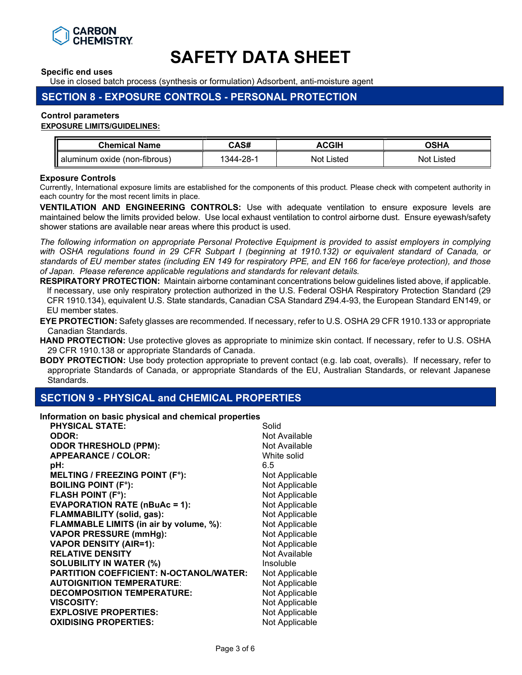

Specific end uses

Use in closed batch process (synthesis or formulation) Adsorbent, anti-moisture agent

# SECTION 8 - EXPOSURE CONTROLS - PERSONAL PROTECTION

#### Control parameters

#### EXPOSURE LIMITS/GUIDELINES:

| <b>Chemical Name</b> | CAS#         | $\sim$ | ∟ים ∩  |
|----------------------|--------------|--------|--------|
| aluminum             | $344 - 28 -$ | .isted | .isted |
| oxide (non-fibrous)  |              | Not    | . Not  |

#### Exposure Controls

Currently, International exposure limits are established for the components of this product. Please check with competent authority in each country for the most recent limits in place.

VENTILATION AND ENGINEERING CONTROLS: Use with adequate ventilation to ensure exposure levels are maintained below the limits provided below. Use local exhaust ventilation to control airborne dust. Ensure eyewash/safety shower stations are available near areas where this product is used.

The following information on appropriate Personal Protective Equipment is provided to assist employers in complying with OSHA regulations found in 29 CFR Subpart I (beginning at 1910.132) or equivalent standard of Canada, or standards of EU member states (including EN 149 for respiratory PPE, and EN 166 for face/eye protection), and those of Japan. Please reference applicable regulations and standards for relevant details.

RESPIRATORY PROTECTION: Maintain airborne contaminant concentrations below guidelines listed above, if applicable. If necessary, use only respiratory protection authorized in the U.S. Federal OSHA Respiratory Protection Standard (29 CFR 1910.134), equivalent U.S. State standards, Canadian CSA Standard Z94.4-93, the European Standard EN149, or EU member states.

EYE PROTECTION: Safety glasses are recommended. If necessary, refer to U.S. OSHA 29 CFR 1910.133 or appropriate Canadian Standards.

HAND PROTECTION: Use protective gloves as appropriate to minimize skin contact. If necessary, refer to U.S. OSHA 29 CFR 1910.138 or appropriate Standards of Canada.

BODY PROTECTION: Use body protection appropriate to prevent contact (e.g. lab coat, overalls). If necessary, refer to appropriate Standards of Canada, or appropriate Standards of the EU, Australian Standards, or relevant Japanese Standards.

### SECTION 9 - PHYSICAL and CHEMICAL PROPERTIES

Information on basic physical and chemical properties

| <b>PHYSICAL STATE:</b>                         | Solid          |
|------------------------------------------------|----------------|
| <b>ODOR:</b>                                   | Not Available  |
| <b>ODOR THRESHOLD (PPM):</b>                   | Not Available  |
| <b>APPEARANCE / COLOR:</b>                     | White solid    |
| pH:                                            | 6.5            |
| <b>MELTING / FREEZING POINT (F°):</b>          | Not Applicable |
| <b>BOILING POINT (F°):</b>                     | Not Applicable |
| <b>FLASH POINT (F°):</b>                       | Not Applicable |
| <b>EVAPORATION RATE (nBuAc = 1):</b>           | Not Applicable |
| <b>FLAMMABILITY (solid, gas):</b>              | Not Applicable |
| FLAMMABLE LIMITS (in air by volume, %):        | Not Applicable |
| <b>VAPOR PRESSURE (mmHg):</b>                  | Not Applicable |
| <b>VAPOR DENSITY (AIR=1):</b>                  | Not Applicable |
| <b>RELATIVE DENSITY</b>                        | Not Available  |
| <b>SOLUBILITY IN WATER (%)</b>                 | Insoluble      |
| <b>PARTITION COEFFICIENT: N-OCTANOL/WATER:</b> | Not Applicable |
| <b>AUTOIGNITION TEMPERATURE:</b>               | Not Applicable |
| <b>DECOMPOSITION TEMPERATURE:</b>              | Not Applicable |
| <b>VISCOSITY:</b>                              | Not Applicable |
| <b>EXPLOSIVE PROPERTIES:</b>                   | Not Applicable |
| <b>OXIDISING PROPERTIES:</b>                   | Not Applicable |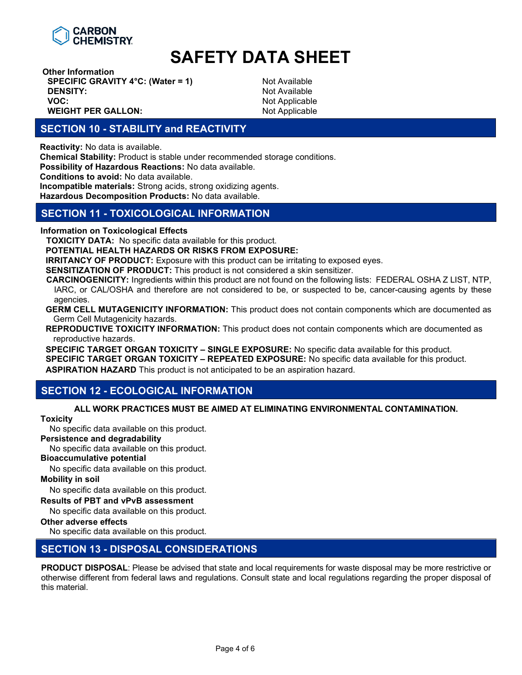

Other Information **SPECIFIC GRAVITY 4°C: (Water = 1)** Not Available **DENSITY:** Not Available VOC: Not Applicable Not Applicable WEIGHT PER GALLON: Not Applicable

# SECTION 10 - STABILITY and REACTIVITY

Reactivity: No data is available.

Chemical Stability: Product is stable under recommended storage conditions.

Possibility of Hazardous Reactions: No data available.

Conditions to avoid: No data available.

Incompatible materials: Strong acids, strong oxidizing agents.

Hazardous Decomposition Products: No data available.

## SECTION 11 - TOXICOLOGICAL INFORMATION

Information on Toxicological Effects

TOXICITY DATA: No specific data available for this product.

POTENTIAL HEALTH HAZARDS OR RISKS FROM EXPOSURE:

**IRRITANCY OF PRODUCT:** Exposure with this product can be irritating to exposed eyes.

SENSITIZATION OF PRODUCT: This product is not considered a skin sensitizer.

CARCINOGENICITY: Ingredients within this product are not found on the following lists: FEDERAL OSHA Z LIST, NTP, IARC, or CAL/OSHA and therefore are not considered to be, or suspected to be, cancer-causing agents by these agencies.

GERM CELL MUTAGENICITY INFORMATION: This product does not contain components which are documented as Germ Cell Mutagenicity hazards.

REPRODUCTIVE TOXICITY INFORMATION: This product does not contain components which are documented as reproductive hazards.

SPECIFIC TARGET ORGAN TOXICITY - SINGLE EXPOSURE: No specific data available for this product. SPECIFIC TARGET ORGAN TOXICITY - REPEATED EXPOSURE: No specific data available for this product. ASPIRATION HAZARD This product is not anticipated to be an aspiration hazard.

# SECTION 12 - ECOLOGICAL INFORMATION

#### ALL WORK PRACTICES MUST BE AIMED AT ELIMINATING ENVIRONMENTAL CONTAMINATION.

#### **Toxicity**

No specific data available on this product.

Persistence and degradability

No specific data available on this product.

#### Bioaccumulative potential

No specific data available on this product.

#### Mobility in soil

No specific data available on this product.

#### Results of PBT and vPvB assessment

No specific data available on this product.

#### Other adverse effects

No specific data available on this product.

### SECTION 13 - DISPOSAL CONSIDERATIONS

PRODUCT DISPOSAL: Please be advised that state and local requirements for waste disposal may be more restrictive or otherwise different from federal laws and regulations. Consult state and local regulations regarding the proper disposal of this material.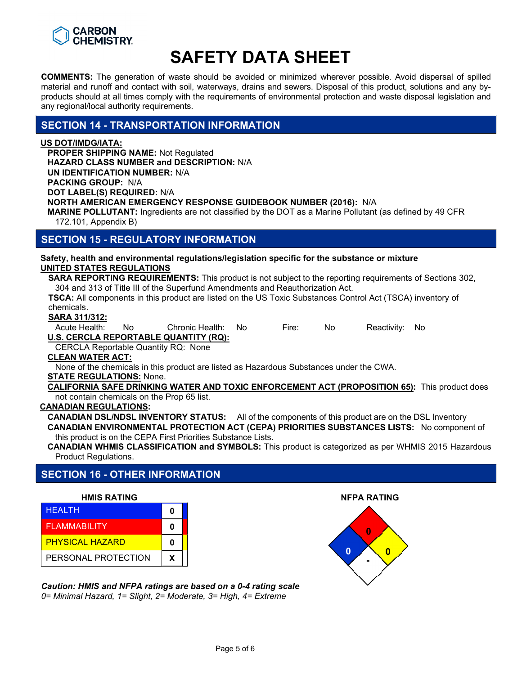

COMMENTS: The generation of waste should be avoided or minimized wherever possible. Avoid dispersal of spilled material and runoff and contact with soil, waterways, drains and sewers. Disposal of this product, solutions and any byproducts should at all times comply with the requirements of environmental protection and waste disposal legislation and any regional/local authority requirements.

## SECTION 14 - TRANSPORTATION INFORMATION

#### US DOT/IMDG/IATA:

PROPER SHIPPING NAME: Not Regulated HAZARD CLASS NUMBER and DESCRIPTION: N/A UN IDENTIFICATION NUMBER: N/A PACKING GROUP: N/A DOT LABEL(S) REQUIRED: N/A NORTH AMERICAN EMERGENCY RESPONSE GUIDEBOOK NUMBER (2016): N/A MARINE POLLUTANT: Ingredients are not classified by the DOT as a Marine Pollutant (as defined by 49 CFR 172.101, Appendix B)

SECTION 15 - REGULATORY INFORMATION

Safety, health and environmental regulations/legislation specific for the substance or mixture UNITED STATES REGULATIONS

SARA REPORTING REQUIREMENTS: This product is not subject to the reporting requirements of Sections 302, 304 and 313 of Title III of the Superfund Amendments and Reauthorization Act.

TSCA: All components in this product are listed on the US Toxic Substances Control Act (TSCA) inventory of chemicals.

#### SARA 311/312:

Acute Health: No Chronic Health: No Fire: No Reactivity: No

U.S. CERCLA REPORTABLE QUANTITY (RQ):

CERCLA Reportable Quantity RQ: None

### CLEAN WATER ACT:

None of the chemicals in this product are listed as Hazardous Substances under the CWA.

#### STATE REGULATIONS: None.

CALIFORNIA SAFE DRINKING WATER AND TOXIC ENFORCEMENT ACT (PROPOSITION 65): This product does not contain chemicals on the Prop 65 list.

#### CANADIAN REGULATIONS:

CANADIAN DSL/NDSL INVENTORY STATUS: All of the components of this product are on the DSL Inventory CANADIAN ENVIRONMENTAL PROTECTION ACT (CEPA) PRIORITIES SUBSTANCES LISTS: No component of this product is on the CEPA First Priorities Substance Lists.

CANADIAN WHMIS CLASSIFICATION and SYMBOLS: This product is categorized as per WHMIS 2015 Hazardous Product Regulations.

# SECTION 16 - OTHER INFORMATION

#### HMIS RATING NFPA RATING

| <b>HEALTH</b>          | 0 |
|------------------------|---|
| <b>FLAMMABILITY</b>    | Ω |
| <b>PHYSICAL HAZARD</b> | Ω |
| PERSONAL PROTECTION    |   |

Caution: HMIS and NFPA ratings are based on a 0-4 rating scale 0= Minimal Hazard, 1= Slight, 2= Moderate, 3= High, 4= Extreme